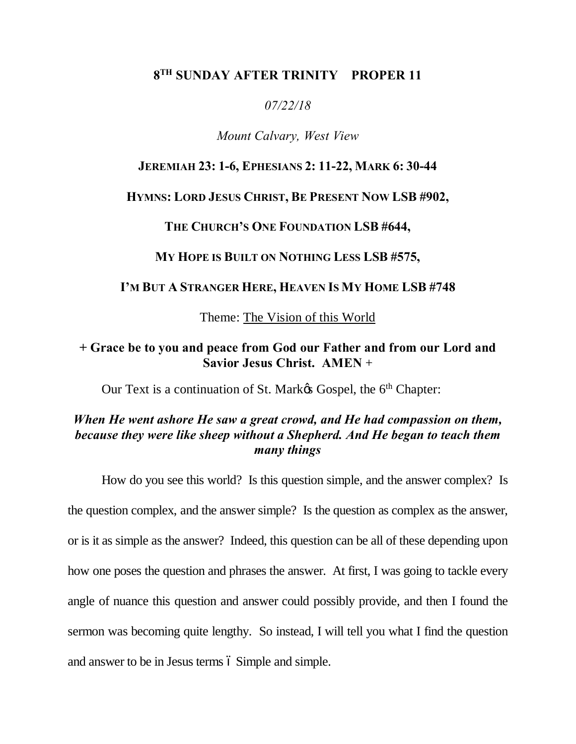## **8TH SUNDAY AFTER TRINITY PROPER 11**

#### *07/22/18*

#### *Mount Calvary, West View*

## **JEREMIAH 23: 1-6, EPHESIANS 2: 11-22, MARK 6: 30-44**

#### **HYMNS: LORD JESUS CHRIST, BE PRESENT NOW LSB #902,**

#### **THE CHURCH'S ONE FOUNDATION LSB #644,**

**MY HOPE IS BUILT ON NOTHING LESS LSB #575,**

#### **I'M BUT A STRANGER HERE, HEAVEN IS MY HOME LSB #748**

Theme: The Vision of this World

## **+ Grace be to you and peace from God our Father and from our Lord and Savior Jesus Christ. AMEN** +

Our Text is a continuation of St. Mark& Gospel, the 6<sup>th</sup> Chapter:

# *When He went ashore He saw a great crowd, and He had compassion on them, because they were like sheep without a Shepherd. And He began to teach them many things*

How do you see this world? Is this question simple, and the answer complex? Is the question complex, and the answer simple? Is the question as complex as the answer, or is it as simple as the answer? Indeed, this question can be all of these depending upon how one poses the question and phrases the answer. At first, I was going to tackle every angle of nuance this question and answer could possibly provide, and then I found the sermon was becoming quite lengthy. So instead, I will tell you what I find the question and answer to be in Jesus terms  $\acute{o}$  Simple and simple.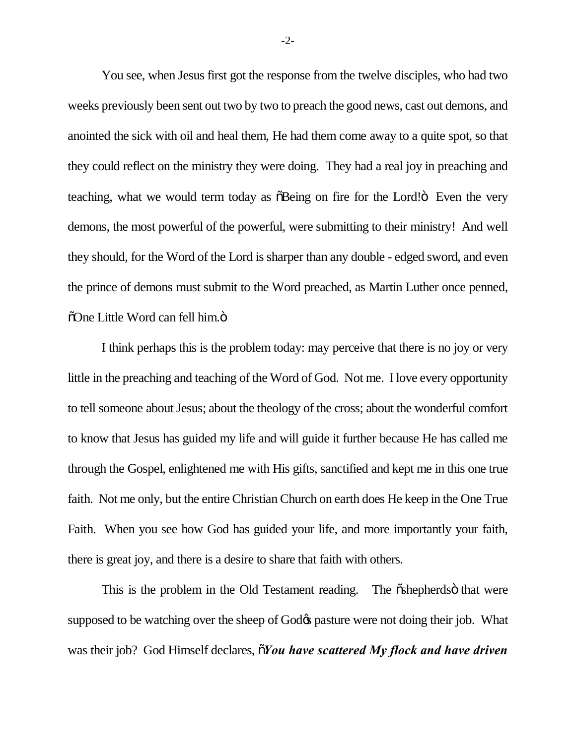You see, when Jesus first got the response from the twelve disciples, who had two weeks previously been sent out two by two to preach the good news, cast out demons, and anointed the sick with oil and heal them, He had them come away to a quite spot, so that they could reflect on the ministry they were doing. They had a real joy in preaching and teaching, what we would term today as  $\delta$ Being on fire for the Lord! $\ddot{\sigma}$  Even the very demons, the most powerful of the powerful, were submitting to their ministry! And well they should, for the Word of the Lord is sharper than any double - edged sword, and even the prince of demons must submit to the Word preached, as Martin Luther once penned, õOne Little Word can fell him.ö

I think perhaps this is the problem today: may perceive that there is no joy or very little in the preaching and teaching of the Word of God. Not me. I love every opportunity to tell someone about Jesus; about the theology of the cross; about the wonderful comfort to know that Jesus has guided my life and will guide it further because He has called me through the Gospel, enlightened me with His gifts, sanctified and kept me in this one true faith. Not me only, but the entire Christian Church on earth does He keep in the One True Faith. When you see how God has guided your life, and more importantly your faith, there is great joy, and there is a desire to share that faith with others.

This is the problem in the Old Testament reading. The  $\ddot{\text{o}}$ shepherds $\ddot{\text{o}}$  that were supposed to be watching over the sheep of God $\alpha$  pasture were not doing their job. What was their job? God Himself declares,  $\tilde{\sigma}$ *You have scattered My flock and have driven* 

-2-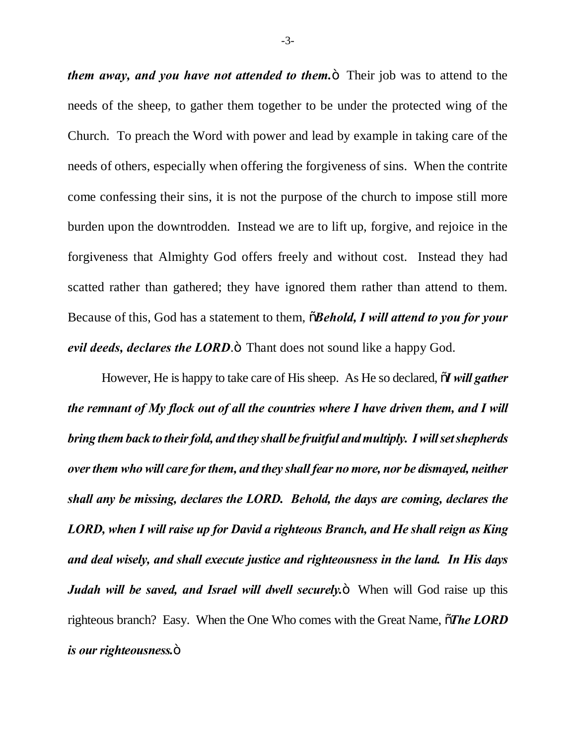*them away, and you have not attended to them.* Their job was to attend to the needs of the sheep, to gather them together to be under the protected wing of the Church. To preach the Word with power and lead by example in taking care of the needs of others, especially when offering the forgiveness of sins. When the contrite come confessing their sins, it is not the purpose of the church to impose still more burden upon the downtrodden. Instead we are to lift up, forgive, and rejoice in the forgiveness that Almighty God offers freely and without cost. Instead they had scatted rather than gathered; they have ignored them rather than attend to them. Because of this, God has a statement to them,  $\delta$ *Behold, I will attend to you for your evil deeds, declares the LORD*. $\ddot{\text{o}}$  Thant does not sound like a happy God.

However, He is happy to take care of His sheep. As He so declared,  $\tilde{\rho}$ *I will gather the remnant of My flock out of all the countries where I have driven them, and I will bring them back to their fold, and they shall be fruitful and multiply. I will set shepherds over them who will care for them, and they shall fear no more, nor be dismayed, neither shall any be missing, declares the LORD. Behold, the days are coming, declares the LORD, when I will raise up for David a righteous Branch, and He shall reign as King and deal wisely, and shall execute justice and righteousness in the land. In His days Judah will be saved, and Israel will dwell securely.* **Then will God raise up this** righteous branch? Easy. When the One Who comes with the Great Name,  $\tilde{o}$ **The LORD** *is our righteousness.* $\ddot{\text{o}}$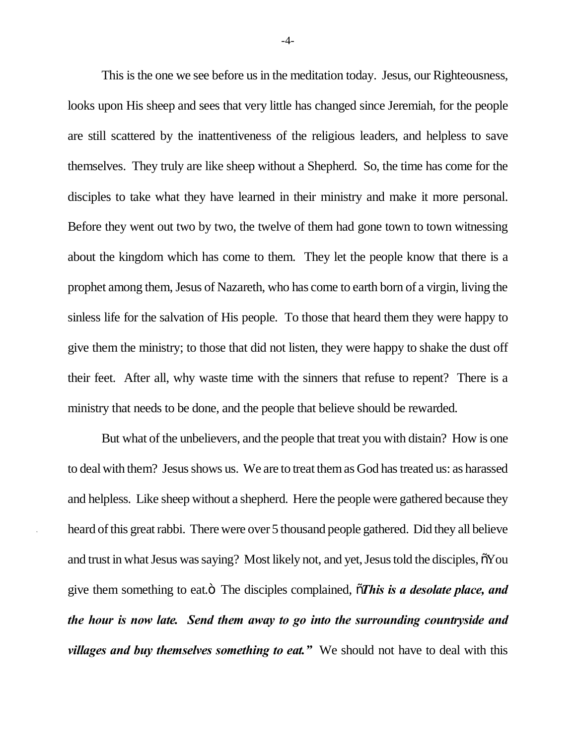This is the one we see before us in the meditation today. Jesus, our Righteousness, looks upon His sheep and sees that very little has changed since Jeremiah, for the people are still scattered by the inattentiveness of the religious leaders, and helpless to save themselves. They truly are like sheep without a Shepherd. So, the time has come for the disciples to take what they have learned in their ministry and make it more personal. Before they went out two by two, the twelve of them had gone town to town witnessing about the kingdom which has come to them. They let the people know that there is a prophet among them, Jesus of Nazareth, who has come to earth born of a virgin, living the sinless life for the salvation of His people. To those that heard them they were happy to give them the ministry; to those that did not listen, they were happy to shake the dust off their feet. After all, why waste time with the sinners that refuse to repent? There is a ministry that needs to be done, and the people that believe should be rewarded.

But what of the unbelievers, and the people that treat you with distain? How is one to deal with them? Jesus shows us. We are to treat them as God has treated us: as harassed and helpless. Like sheep without a shepherd. Here the people were gathered because they heard of this great rabbi. There were over 5 thousand people gathered. Did they all believe and trust in what Jesus was saying? Most likely not, and yet, Jesus told the disciples,  $\tilde{o}You$ give them something to eat. $\ddot{o}$  The disciples complained,  $\ddot{o}$ **This is a desolate place, and** *the hour is now late. Send them away to go into the surrounding countryside and villages and buy themselves something to eat.*<sup>*"*</sup> We should not have to deal with this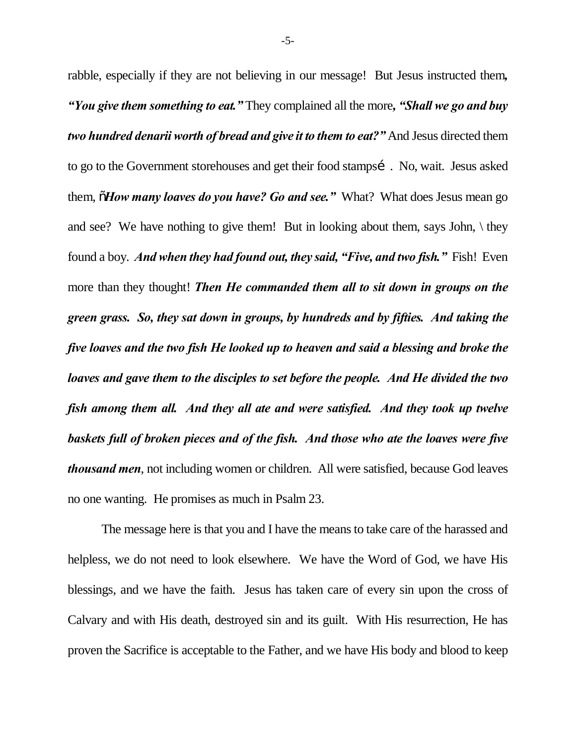rabble, especially if they are not believing in our message! But Jesus instructed them*, "You give them something to eat."* They complained all the more*, "Shall we go and buy two hundred denarii worth of bread and give it to them to eat?"* And Jesus directed them to go to the Government storehouses and get their food stampsi. No, wait. Jesus asked them, "*How many loaves do you have? Go and see."* What? What does Jesus mean go and see? We have nothing to give them! But in looking about them, says John,  $\setminus$  they found a boy. *And when they had found out, they said, "Five, and two fish."* Fish! Even more than they thought! *Then He commanded them all to sit down in groups on the green grass. So, they sat down in groups, by hundreds and by fifties. And taking the five loaves and the two fish He looked up to heaven and said a blessing and broke the loaves and gave them to the disciples to set before the people. And He divided the two fish among them all. And they all ate and were satisfied. And they took up twelve baskets full of broken pieces and of the fish. And those who ate the loaves were five thousand men*, not including women or children. All were satisfied, because God leaves no one wanting. He promises as much in Psalm 23.

The message here is that you and I have the means to take care of the harassed and helpless, we do not need to look elsewhere. We have the Word of God, we have His blessings, and we have the faith. Jesus has taken care of every sin upon the cross of Calvary and with His death, destroyed sin and its guilt. With His resurrection, He has proven the Sacrifice is acceptable to the Father, and we have His body and blood to keep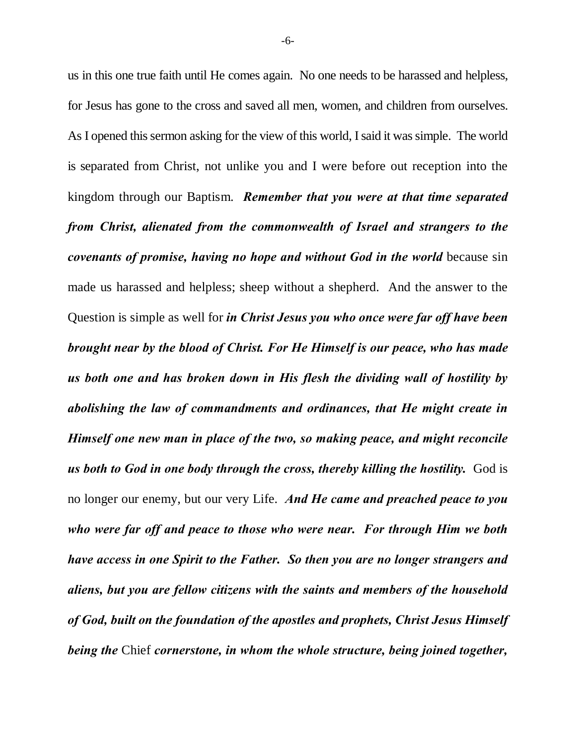us in this one true faith until He comes again. No one needs to be harassed and helpless, for Jesus has gone to the cross and saved all men, women, and children from ourselves. As I opened this sermon asking for the view of this world, I said it was simple. The world is separated from Christ, not unlike you and I were before out reception into the kingdom through our Baptism. *Remember that you were at that time separated from Christ, alienated from the commonwealth of Israel and strangers to the covenants of promise, having no hope and without God in the world* because sin made us harassed and helpless; sheep without a shepherd. And the answer to the Question is simple as well for *in Christ Jesus you who once were far off have been brought near by the blood of Christ. For He Himself is our peace, who has made us both one and has broken down in His flesh the dividing wall of hostility by abolishing the law of commandments and ordinances, that He might create in Himself one new man in place of the two, so making peace, and might reconcile us both to God in one body through the cross, thereby killing the hostility.* God is no longer our enemy, but our very Life. *And He came and preached peace to you who were far off and peace to those who were near. For through Him we both have access in one Spirit to the Father. So then you are no longer strangers and aliens, but you are fellow citizens with the saints and members of the household of God, built on the foundation of the apostles and prophets, Christ Jesus Himself being the* Chief *cornerstone, in whom the whole structure, being joined together,*